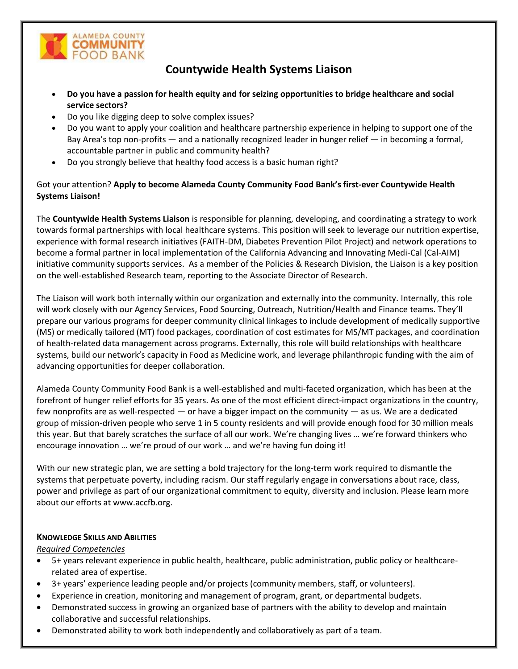

# **Countywide Health Systems Liaison**

- **Do you have a passion for health equity and for seizing opportunities to bridge healthcare and social service sectors?**
- Do you like digging deep to solve complex issues?
- Do you want to apply your coalition and healthcare partnership experience in helping to support one of the Bay Area's top non-profits — and a nationally recognized leader in hunger relief — in becoming a formal, accountable partner in public and community health?
- Do you strongly believe that healthy food access is a basic human right?

Got your attention? **Apply to become Alameda County Community Food Bank's first-ever Countywide Health Systems Liaison!**

The **Countywide Health Systems Liaison** is responsible for planning, developing, and coordinating a strategy to work towards formal partnerships with local healthcare systems. This position will seek to leverage our nutrition expertise, experience with formal research initiatives (FAITH-DM, Diabetes Prevention Pilot Project) and network operations to become a formal partner in local implementation of the California Advancing and Innovating Medi-Cal (Cal-AIM) initiative community supports services. As a member of the Policies & Research Division, the Liaison is a key position on the well-established Research team, reporting to the Associate Director of Research.

The Liaison will work both internally within our organization and externally into the community. Internally, this role will work closely with our Agency Services, Food Sourcing, Outreach, Nutrition/Health and Finance teams. They'll prepare our various programs for deeper community clinical linkages to include development of medically supportive (MS) or medically tailored (MT) food packages, coordination of cost estimates for MS/MT packages, and coordination of health-related data management across programs. Externally, this role will build relationships with healthcare systems, build our network's capacity in Food as Medicine work, and leverage philanthropic funding with the aim of advancing opportunities for deeper collaboration.

Alameda County Community Food Bank is a well-established and multi-faceted organization, which has been at the forefront of hunger relief efforts for 35 years. As one of the most efficient direct-impact organizations in the country, few nonprofits are as well-respected — or have a bigger impact on the community — as us. We are a dedicated group of mission-driven people who serve 1 in 5 county residents and will provide enough food for 30 million meals this year. But that barely scratches the surface of all our work. We're changing lives … we're forward thinkers who encourage innovation … we're proud of our work … and we're having fun doing it!

With our new strategic plan, we are setting a bold trajectory for the long-term work required to dismantle the systems that perpetuate poverty, including racism. Our staff regularly engage in conversations about race, class, power and privilege as part of our organizational commitment to equity, diversity and inclusion. Please learn more about our efforts a[t www.accfb.org.](http://www.accfb.org/)

# **KNOWLEDGE SKILLS AND ABILITIES**

# *Required Competencies*

- 5+ years relevant experience in public health, healthcare, public administration, public policy or healthcarerelated area of expertise.
- 3+ years' experience leading people and/or projects (community members, staff, or volunteers).
- Experience in creation, monitoring and management of program, grant, or departmental budgets.
- Demonstrated success in growing an organized base of partners with the ability to develop and maintain collaborative and successful relationships.
- Demonstrated ability to work both independently and collaboratively as part of a team.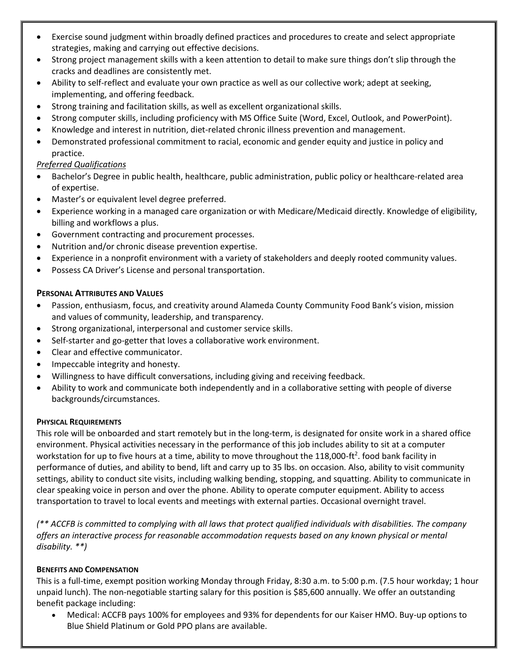- Exercise sound judgment within broadly defined practices and procedures to create and select appropriate strategies, making and carrying out effective decisions.
- Strong project management skills with a keen attention to detail to make sure things don't slip through the cracks and deadlines are consistently met.
- Ability to self-reflect and evaluate your own practice as well as our collective work; adept at seeking, implementing, and offering feedback.
- Strong training and facilitation skills, as well as excellent organizational skills.
- Strong computer skills, including proficiency with MS Office Suite (Word, Excel, Outlook, and PowerPoint).
- Knowledge and interest in nutrition, diet-related chronic illness prevention and management.
- Demonstrated professional commitment to racial, economic and gender equity and justice in policy and practice.

# *Preferred Qualifications*

- Bachelor's Degree in public health, healthcare, public administration, public policy or healthcare-related area of expertise.
- Master's or equivalent level degree preferred.
- Experience working in a managed care organization or with Medicare/Medicaid directly. Knowledge of eligibility, billing and workflows a plus.
- Government contracting and procurement processes.
- Nutrition and/or chronic disease prevention expertise.
- Experience in a nonprofit environment with a variety of stakeholders and deeply rooted community values.
- Possess CA Driver's License and personal transportation.

# **PERSONAL ATTRIBUTES AND VALUES**

- Passion, enthusiasm, focus, and creativity around Alameda County Community Food Bank's vision, mission and values of community, leadership, and transparency.
- Strong organizational, interpersonal and customer service skills.
- Self-starter and go-getter that loves a collaborative work environment.
- Clear and effective communicator.
- Impeccable integrity and honesty.
- Willingness to have difficult conversations, including giving and receiving feedback.
- Ability to work and communicate both independently and in a collaborative setting with people of diverse backgrounds/circumstances.

# **PHYSICAL REQUIREMENTS**

This role will be onboarded and start remotely but in the long-term, is designated for onsite work in a shared office environment. Physical activities necessary in the performance of this job includes ability to sit at a computer workstation for up to five hours at a time, ability to move throughout the 118,000-ft<sup>2</sup>. food bank facility in performance of duties, and ability to bend, lift and carry up to 35 lbs. on occasion. Also, ability to visit community settings, ability to conduct site visits, including walking bending, stopping, and squatting. Ability to communicate in clear speaking voice in person and over the phone. Ability to operate computer equipment. Ability to access transportation to travel to local events and meetings with external parties. Occasional overnight travel.

*(\*\* ACCFB is committed to complying with all laws that protect qualified individuals with disabilities. The company offers an interactive process for reasonable accommodation requests based on any known physical or mental disability. \*\*)*

# **BENEFITS AND COMPENSATION**

This is a full-time, exempt position working Monday through Friday, 8:30 a.m. to 5:00 p.m. (7.5 hour workday; 1 hour unpaid lunch). The non-negotiable starting salary for this position is \$85,600 annually. We offer an outstanding benefit package including:

• Medical: ACCFB pays 100% for employees and 93% for dependents for our Kaiser HMO. Buy-up options to Blue Shield Platinum or Gold PPO plans are available.